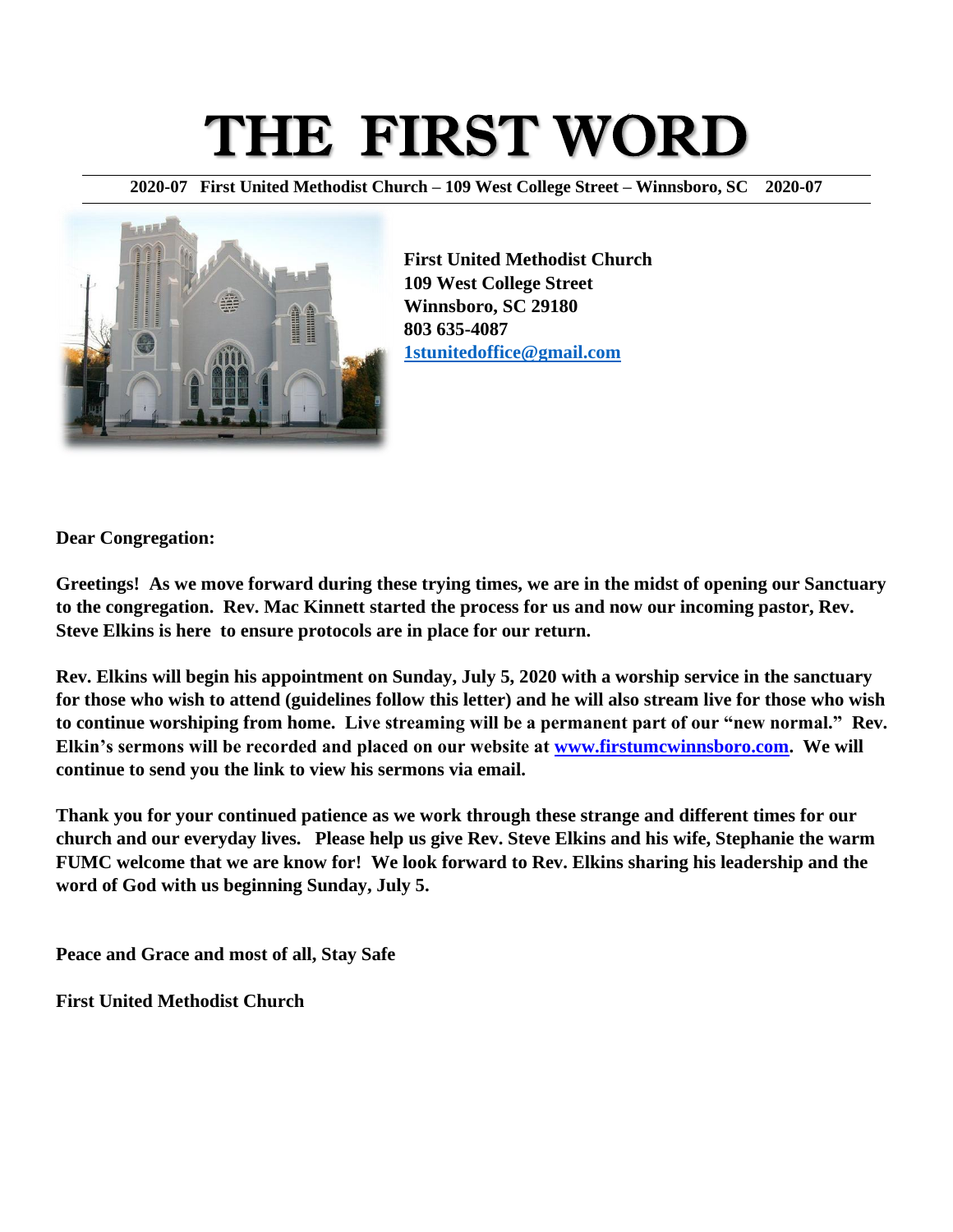# THE FIRST WORD

**2020-07 First United Methodist Church – 109 West College Street – Winnsboro, SC 2020-07**



**First United Methodist Church 109 West College Street Winnsboro, SC 29180 803 635-4087 [1stunitedoffice@gmail.com](mailto:1stunitedoffice@gmail.com)**

**Dear Congregation:**

**Greetings! As we move forward during these trying times, we are in the midst of opening our Sanctuary to the congregation. Rev. Mac Kinnett started the process for us and now our incoming pastor, Rev. Steve Elkins is here to ensure protocols are in place for our return.** 

**Rev. Elkins will begin his appointment on Sunday, July 5, 2020 with a worship service in the sanctuary for those who wish to attend (guidelines follow this letter) and he will also stream live for those who wish to continue worshiping from home. Live streaming will be a permanent part of our "new normal." Rev. Elkin's sermons will be recorded and placed on our website at [www.firstumcwinnsboro.com.](http://www.firstumcwinnsboro.com/) We will continue to send you the link to view his sermons via email.** 

**Thank you for your continued patience as we work through these strange and different times for our church and our everyday lives. Please help us give Rev. Steve Elkins and his wife, Stephanie the warm FUMC welcome that we are know for! We look forward to Rev. Elkins sharing his leadership and the word of God with us beginning Sunday, July 5.**

**Peace and Grace and most of all, Stay Safe**

**First United Methodist Church**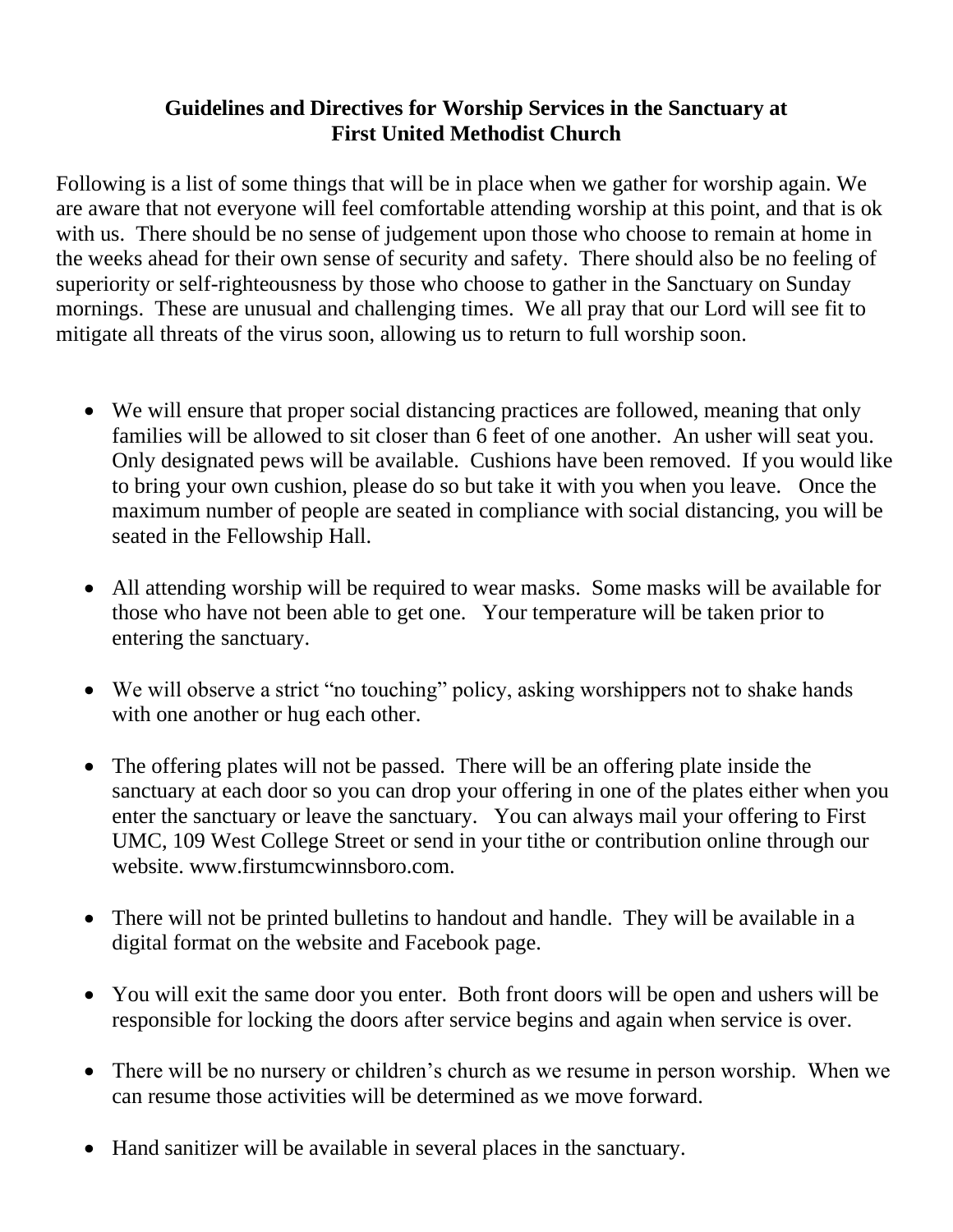### **Guidelines and Directives for Worship Services in the Sanctuary at First United Methodist Church**

Following is a list of some things that will be in place when we gather for worship again. We are aware that not everyone will feel comfortable attending worship at this point, and that is ok with us. There should be no sense of judgement upon those who choose to remain at home in the weeks ahead for their own sense of security and safety. There should also be no feeling of superiority or self-righteousness by those who choose to gather in the Sanctuary on Sunday mornings. These are unusual and challenging times. We all pray that our Lord will see fit to mitigate all threats of the virus soon, allowing us to return to full worship soon.

- We will ensure that proper social distancing practices are followed, meaning that only families will be allowed to sit closer than 6 feet of one another. An usher will seat you. Only designated pews will be available. Cushions have been removed. If you would like to bring your own cushion, please do so but take it with you when you leave. Once the maximum number of people are seated in compliance with social distancing, you will be seated in the Fellowship Hall.
- All attending worship will be required to wear masks. Some masks will be available for those who have not been able to get one. Your temperature will be taken prior to entering the sanctuary.
- We will observe a strict "no touching" policy, asking worshippers not to shake hands with one another or hug each other.
- The offering plates will not be passed. There will be an offering plate inside the sanctuary at each door so you can drop your offering in one of the plates either when you enter the sanctuary or leave the sanctuary. You can always mail your offering to First UMC, 109 West College Street or send in your tithe or contribution online through our website. www.firstumcwinnsboro.com.
- There will not be printed bulletins to handout and handle. They will be available in a digital format on the website and Facebook page.
- You will exit the same door you enter. Both front doors will be open and ushers will be responsible for locking the doors after service begins and again when service is over.
- There will be no nursery or children's church as we resume in person worship. When we can resume those activities will be determined as we move forward.
- Hand sanitizer will be available in several places in the sanctuary.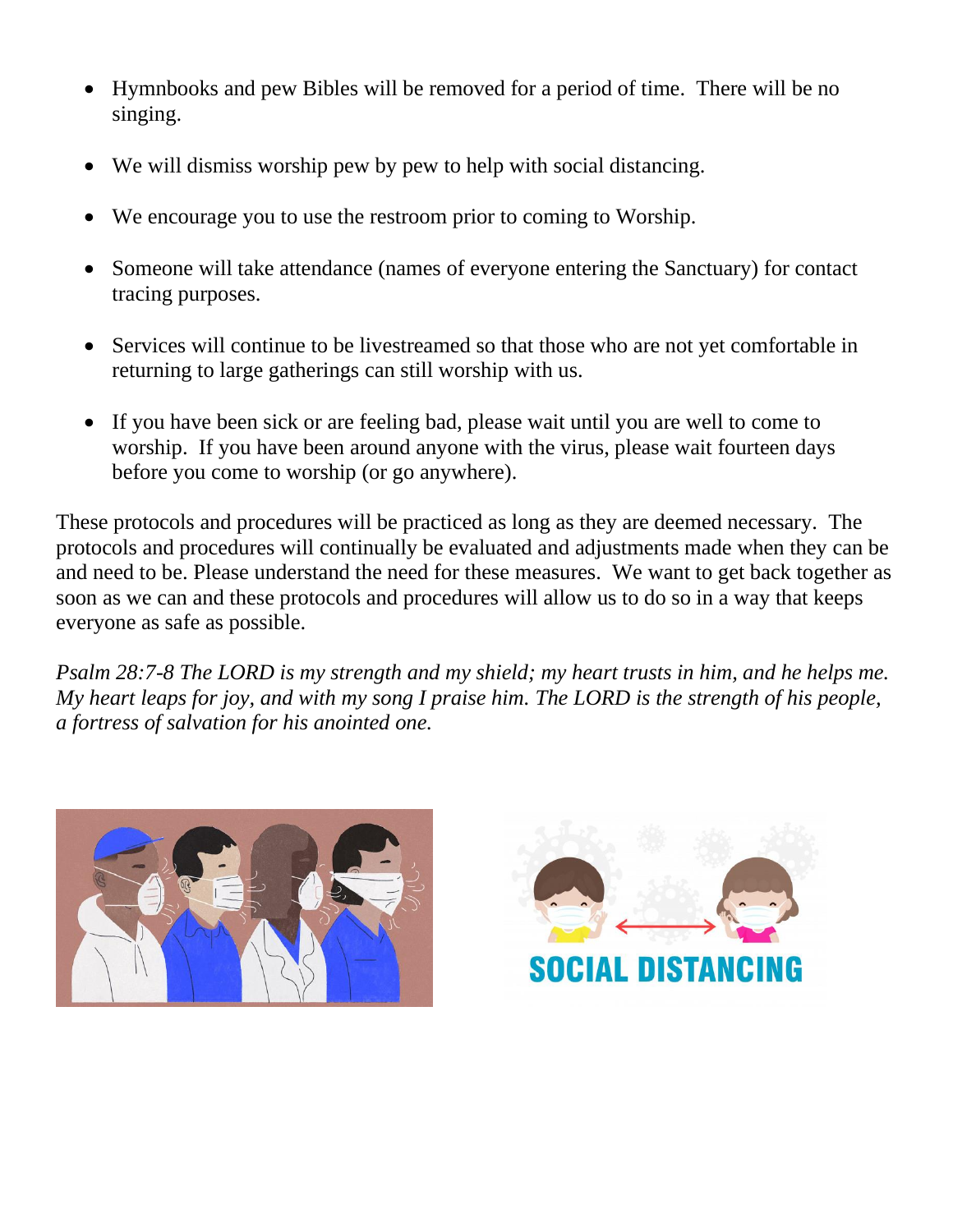- Hymnbooks and pew Bibles will be removed for a period of time. There will be no singing.
- We will dismiss worship pew by pew to help with social distancing.
- We encourage you to use the restroom prior to coming to Worship.
- Someone will take attendance (names of everyone entering the Sanctuary) for contact tracing purposes.
- Services will continue to be livestreamed so that those who are not yet comfortable in returning to large gatherings can still worship with us.
- If you have been sick or are feeling bad, please wait until you are well to come to worship. If you have been around anyone with the virus, please wait fourteen days before you come to worship (or go anywhere).

These protocols and procedures will be practiced as long as they are deemed necessary. The protocols and procedures will continually be evaluated and adjustments made when they can be and need to be. Please understand the need for these measures. We want to get back together as soon as we can and these protocols and procedures will allow us to do so in a way that keeps everyone as safe as possible.

*Psalm 28:7-8 The LORD is my strength and my shield; my heart trusts in him, and he helps me. My heart leaps for joy, and with my song I praise him. The LORD is the strength of his people, a fortress of salvation for his anointed one.*



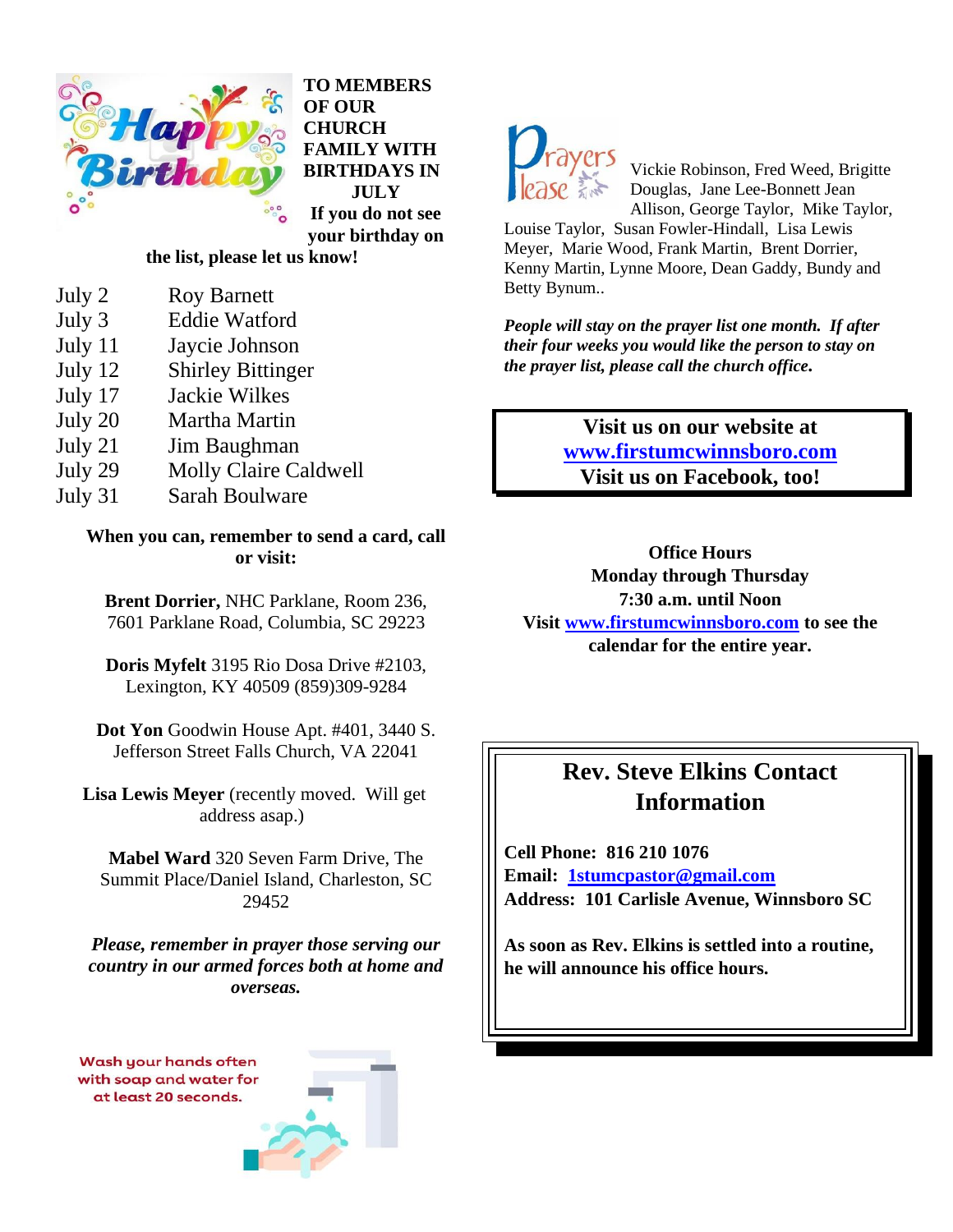

**TO MEMBERS OF OUR CHURCH FAMILY WITH BIRTHDAYS IN JULY If you do not see your birthday on** 

#### **the list, please let us know!**

- July 3 Eddie Watford
- July 11 Jaycie Johnson
- July 12 Shirley Bittinger
- July 17 Jackie Wilkes
- July 20 Martha Martin
- July 21 Jim Baughman
- July 29 Molly Claire Caldwell
- July 31 Sarah Boulware

**When you can, remember to send a card, call or visit:**

**Brent Dorrier,** NHC Parklane, Room 236, 7601 Parklane Road, Columbia, SC 29223

**Doris Myfelt** 3195 Rio Dosa Drive #2103, Lexington, KY 40509 (859)309-9284

**Dot Yon** Goodwin House Apt. #401, 3440 S. Jefferson Street Falls Church, VA 22041

**Lisa Lewis Meyer** (recently moved. Will get address asap.)

**Mabel Ward** 320 Seven Farm Drive, The Summit Place/Daniel Island, Charleston, SC 29452

*Please, remember in prayer those serving our country in our armed forces both at home and overseas.*







Vickie Robinson, Fred Weed, Brigitte Douglas, Jane Lee-Bonnett Jean Allison, George Taylor, Mike Taylor,

Louise Taylor, Susan Fowler-Hindall, Lisa Lewis Meyer, Marie Wood, Frank Martin, Brent Dorrier, Kenny Martin, Lynne Moore, Dean Gaddy, Bundy and Betty Bynum..

*People will stay on the prayer list one month. If after their four weeks you would like the person to stay on the prayer list, please call the church office.*

> **Visit us on our website at [www.firstumcwinnsboro.com](http://www.firstumcwinnsboro.com/) Visit us on Facebook, too!**

**Office Hours Monday through Thursday 7:30 a.m. until Noon Visit [www.firstumcwinnsboro.com](http://www.firstumcwinnsboro.com/) to see the calendar for the entire year.**

## **Rev. Steve Elkins Contact Information**

**Cell Phone: 816 210 1076 Email: [1stumcpastor@gmail.com](mailto:1stumcpastor@gmail.com) Address: 101 Carlisle Avenue, Winnsboro SC**

**As soon as Rev. Elkins is settled into a routine, he will announce his office hours.**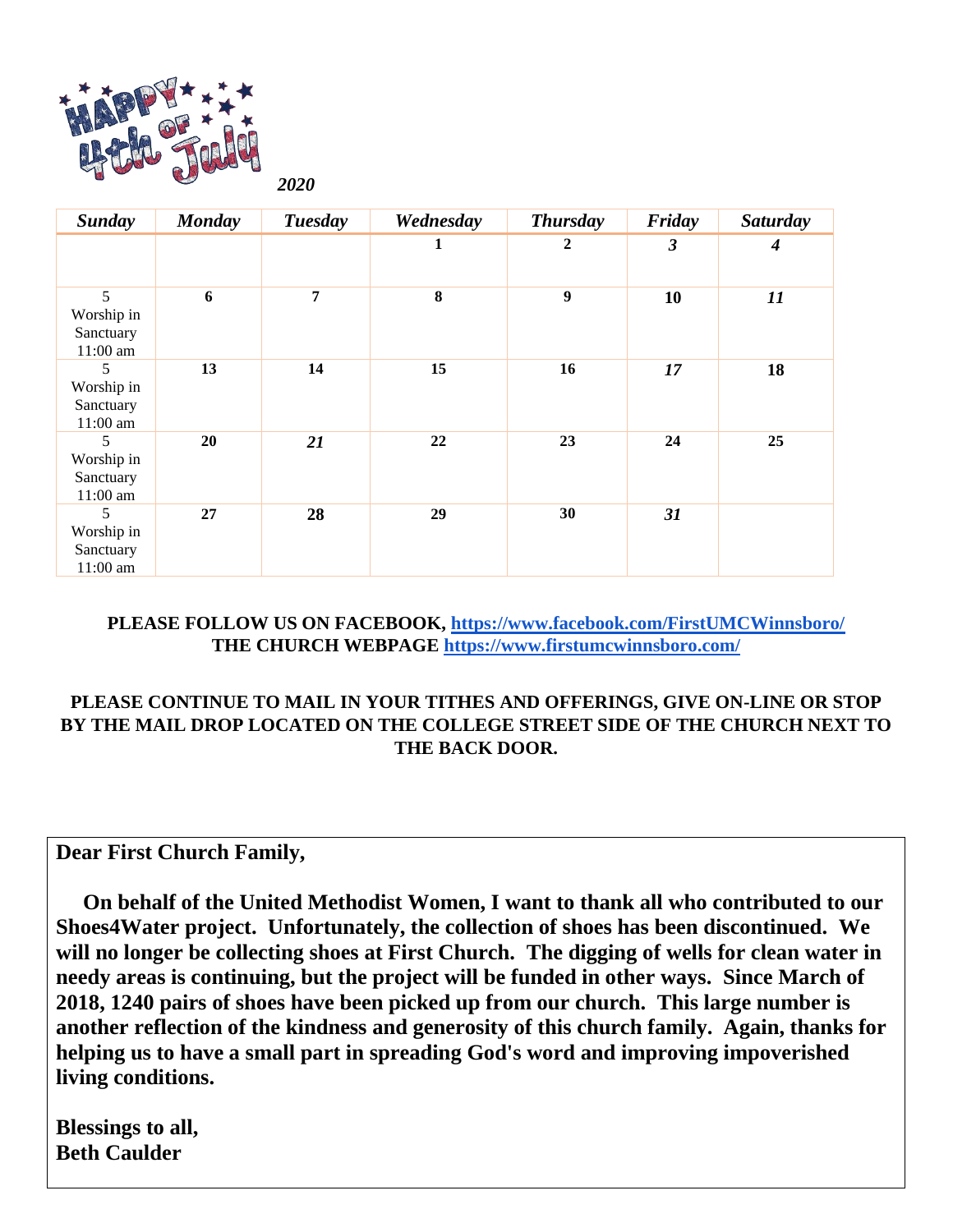

 *2020*

| <b>Sunday</b>                              | <b>Monday</b> | <b>Tuesday</b> | Wednesday | <b>Thursday</b>  | Friday | Saturday |
|--------------------------------------------|---------------|----------------|-----------|------------------|--------|----------|
|                                            |               |                | 1         | 2                | 3      | 4        |
| 5<br>Worship in<br>Sanctuary<br>$11:00$ am | 6             | $\overline{7}$ | 8         | $\boldsymbol{9}$ | 10     | 11       |
| 5<br>Worship in<br>Sanctuary<br>$11:00$ am | 13            | 14             | 15        | 16               | 17     | 18       |
| 5<br>Worship in<br>Sanctuary<br>$11:00$ am | 20            | 21             | 22        | 23               | 24     | 25       |
| 5<br>Worship in<br>Sanctuary<br>11:00 am   | 27            | 28             | 29        | 30               | 31     |          |

#### **PLEASE FOLLOW US ON FACEBOOK,<https://www.facebook.com/FirstUMCWinnsboro/> THE CHURCH WEBPAGE<https://www.firstumcwinnsboro.com/>**

#### **PLEASE CONTINUE TO MAIL IN YOUR TITHES AND OFFERINGS, GIVE ON-LINE OR STOP BY THE MAIL DROP LOCATED ON THE COLLEGE STREET SIDE OF THE CHURCH NEXT TO THE BACK DOOR.**

**Dear First Church Family,**

 **On behalf of the United Methodist Women, I want to thank all who contributed to our Shoes4Water project. Unfortunately, the collection of shoes has been discontinued. We will no longer be collecting shoes at First Church. The digging of wells for clean water in needy areas is continuing, but the project will be funded in other ways. Since March of 2018, 1240 pairs of shoes have been picked up from our church. This large number is another reflection of the kindness and generosity of this church family. Again, thanks for helping us to have a small part in spreading God's word and improving impoverished living conditions.** 

**Blessings to all, Beth Caulder**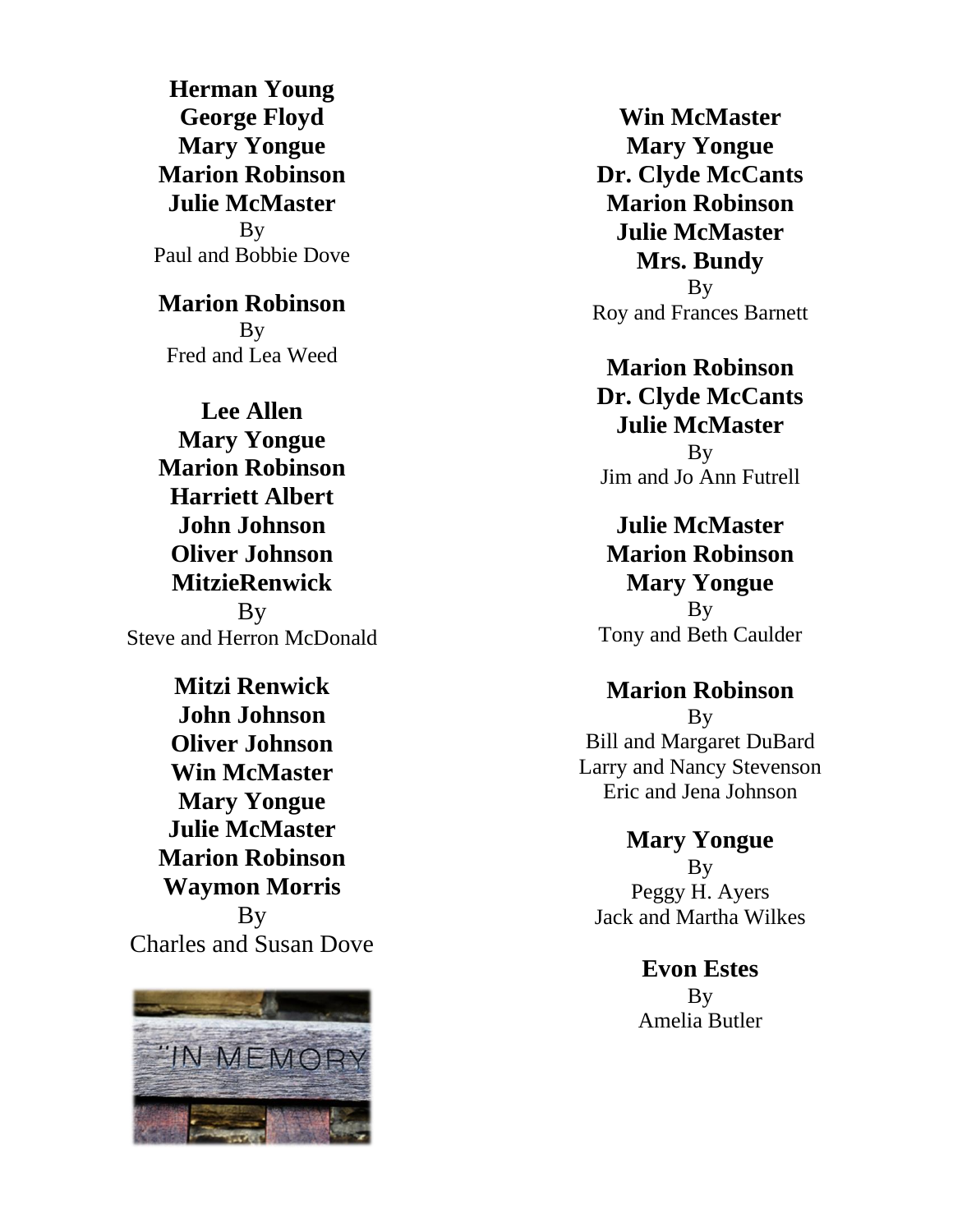**Herman Young George Floyd Mary Yongue Marion Robinson Julie McMaster** By Paul and Bobbie Dove

**Marion Robinson** By Fred and Lea Weed

**Lee Allen Mary Yongue Marion Robinson Harriett Albert John Johnson Oliver Johnson MitzieRenwick B**<sub>V</sub> Steve and Herron McDonald

**Mitzi Renwick John Johnson Oliver Johnson Win McMaster Mary Yongue Julie McMaster Marion Robinson Waymon Morris** By Charles and Susan Dove



**Win McMaster Mary Yongue Dr. Clyde McCants Marion Robinson Julie McMaster Mrs. Bundy**

By Roy and Frances Barnett

**Marion Robinson Dr. Clyde McCants Julie McMaster** By Jim and Jo Ann Futrell

**Julie McMaster Marion Robinson Mary Yongue** By Tony and Beth Caulder

## **Marion Robinson**

By Bill and Margaret DuBard Larry and Nancy Stevenson Eric and Jena Johnson

**Mary Yongue B**<sub>V</sub> Peggy H. Ayers Jack and Martha Wilkes

> **Evon Estes B**<sub>V</sub> Amelia Butler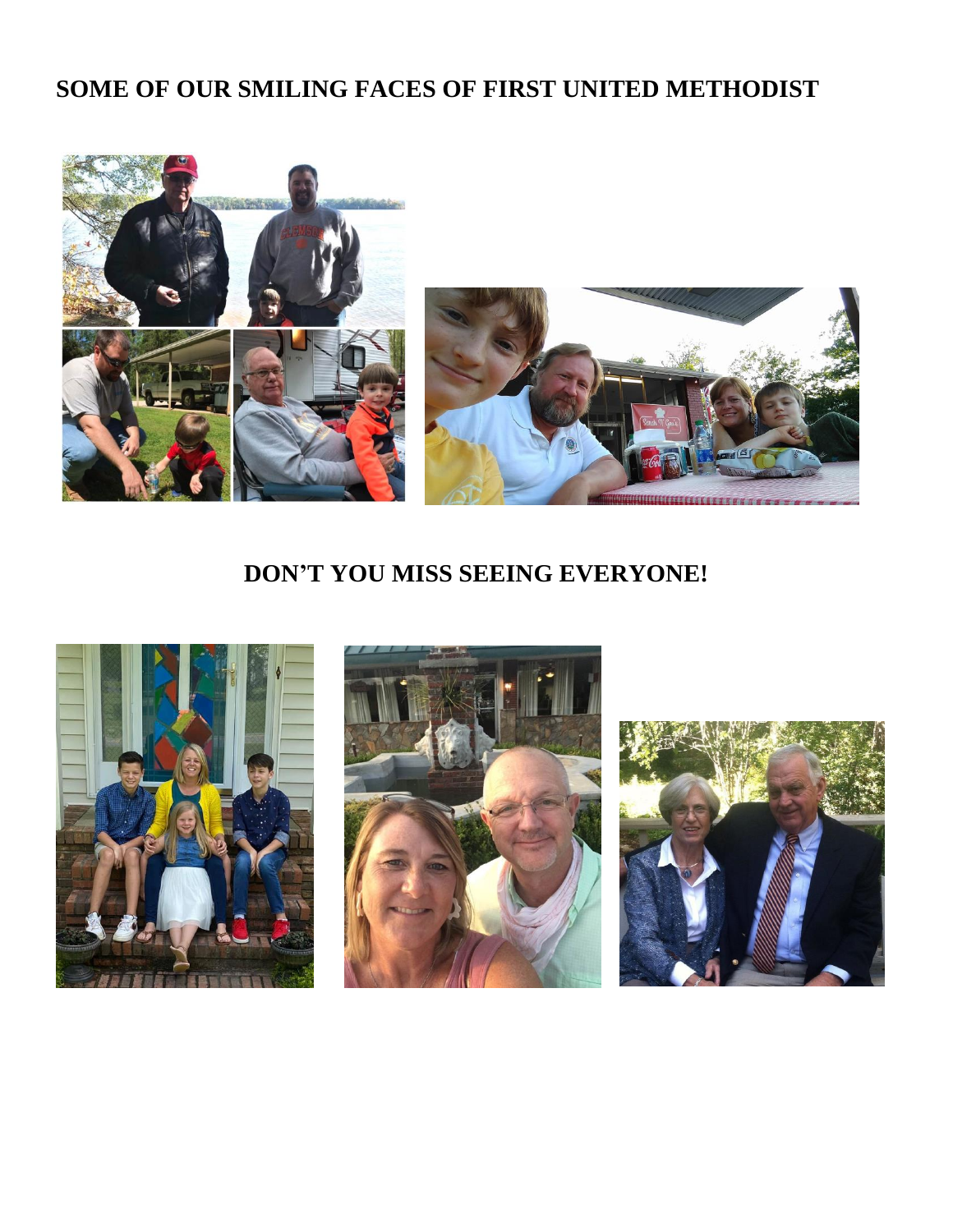# **SOME OF OUR SMILING FACES OF FIRST UNITED METHODIST**



## **DON'T YOU MISS SEEING EVERYONE!**